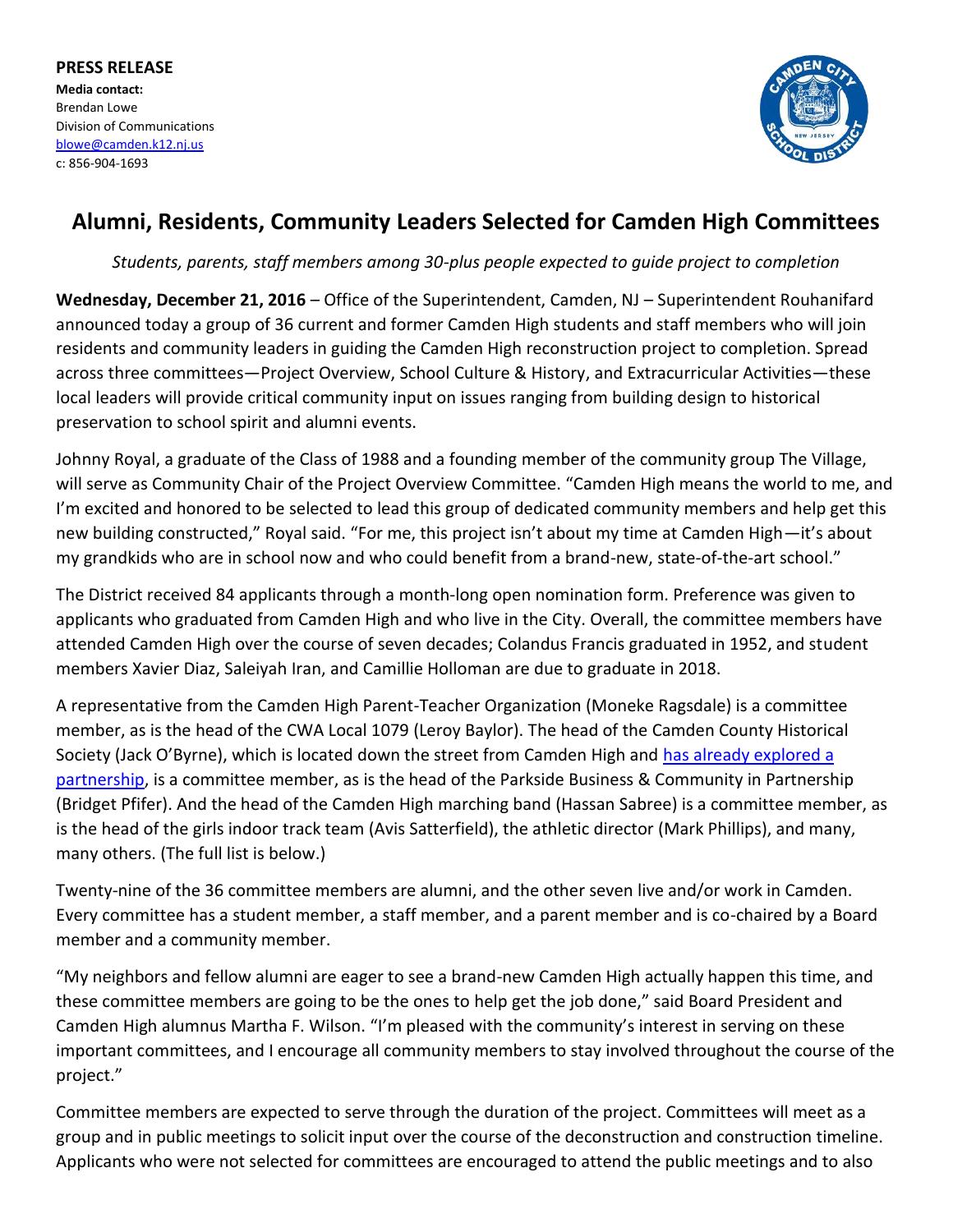**PRESS RELEASE Media contact:** Brendan Lowe Division of Communications [blowe@camden.k12.nj.us](mailto:blowe@camden.k12.nj.us) c: 856-904-1693



## **Alumni, Residents, Community Leaders Selected for Camden High Committees**

*Students, parents, staff members among 30-plus people expected to guide project to completion*

**Wednesday, December 21, 2016** – Office of the Superintendent, Camden, NJ – Superintendent Rouhanifard announced today a group of 36 current and former Camden High students and staff members who will join residents and community leaders in guiding the Camden High reconstruction project to completion. Spread across three committees—Project Overview, School Culture & History, and Extracurricular Activities—these local leaders will provide critical community input on issues ranging from building design to historical preservation to school spirit and alumni events.

Johnny Royal, a graduate of the Class of 1988 and a founding member of the community group The Village, will serve as Community Chair of the Project Overview Committee. "Camden High means the world to me, and I'm excited and honored to be selected to lead this group of dedicated community members and help get this new building constructed," Royal said. "For me, this project isn't about my time at Camden High—it's about my grandkids who are in school now and who could benefit from a brand-new, state-of-the-art school."

The District received 84 applicants through a month-long open nomination form. Preference was given to applicants who graduated from Camden High and who live in the City. Overall, the committee members have attended Camden High over the course of seven decades; Colandus Francis graduated in 1952, and student members Xavier Diaz, Saleiyah Iran, and Camillie Holloman are due to graduate in 2018.

A representative from the Camden High Parent-Teacher Organization (Moneke Ragsdale) is a committee member, as is the head of the CWA Local 1079 (Leroy Baylor). The head of the Camden County Historical Society (Jack O'Byrne), which is located down the street from Camden High and [has already explored a](http://www.philly.com/philly/education/20161009_Thanks_for_the_memories__but_it_s_time_for_a_new_Camden_High.html)  [partnership,](http://www.philly.com/philly/education/20161009_Thanks_for_the_memories__but_it_s_time_for_a_new_Camden_High.html) is a committee member, as is the head of the Parkside Business & Community in Partnership (Bridget Pfifer). And the head of the Camden High marching band (Hassan Sabree) is a committee member, as is the head of the girls indoor track team (Avis Satterfield), the athletic director (Mark Phillips), and many, many others. (The full list is below.)

Twenty-nine of the 36 committee members are alumni, and the other seven live and/or work in Camden. Every committee has a student member, a staff member, and a parent member and is co-chaired by a Board member and a community member.

"My neighbors and fellow alumni are eager to see a brand-new Camden High actually happen this time, and these committee members are going to be the ones to help get the job done," said Board President and Camden High alumnus Martha F. Wilson. "I'm pleased with the community's interest in serving on these important committees, and I encourage all community members to stay involved throughout the course of the project."

Committee members are expected to serve through the duration of the project. Committees will meet as a group and in public meetings to solicit input over the course of the deconstruction and construction timeline. Applicants who were not selected for committees are encouraged to attend the public meetings and to also